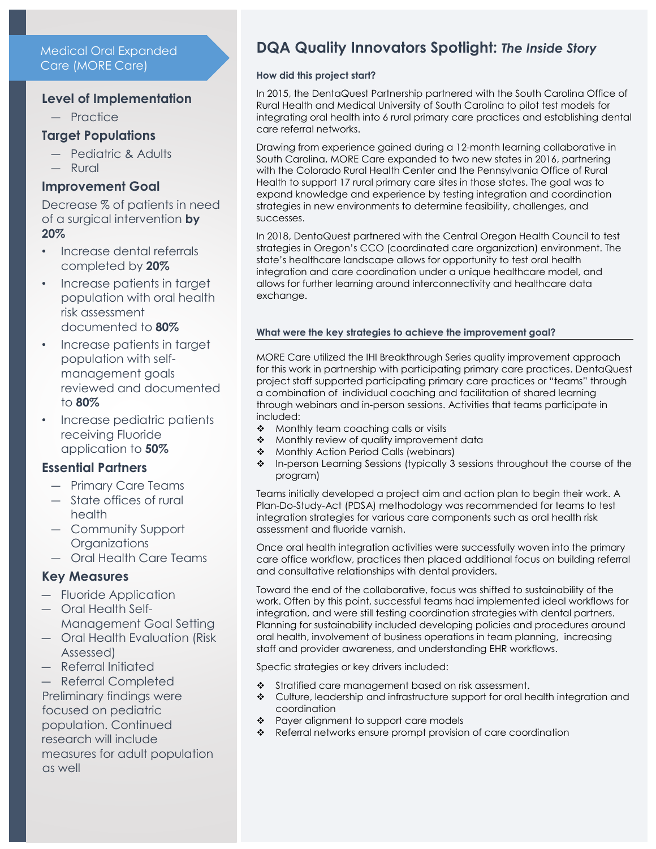Medical Oral Expanded Care (MORE Care)

## **Level of Implementation**

- ― Practice
- **Target Populations**
	- ― Pediatric & Adults
	- ― Rural

#### **Improvement Goal**

Decrease % of patients in need of a surgical intervention **by 20%**

- Increase dental referrals completed by **20%**
- Increase patients in target population with oral health risk assessment documented to **80%**
- Increase patients in target population with selfmanagement goals reviewed and documented to **80%**
- Increase pediatric patients receiving Fluoride application to **50%**

# **Essential Partners**

- ― Primary Care Teams
- ― State offices of rural health
- ― Community Support **Organizations**
- ― Oral Health Care Teams

# **Key Measures**

- ― Fluoride Application
- ― Oral Health Self-Management Goal Setting
- ― Oral Health Evaluation (Risk Assessed)
- ― Referral Initiated
- ― Referral Completed Preliminary findings were focused on pediatric population. Continued research will include measures for adult population as well

# **DQA Quality Innovators Spotlight:** *The Inside Story*

#### **How did this project start?**

In 2015, the DentaQuest Partnership partnered with the South Carolina Office of Rural Health and Medical University of South Carolina to pilot test models for integrating oral health into 6 rural primary care practices and establishing dental care referral networks.

Drawing from experience gained during a 12-month learning collaborative in South Carolina, MORE Care expanded to two new states in 2016, partnering with the Colorado Rural Health Center and the Pennsylvania Office of Rural Health to support 17 rural primary care sites in those states. The goal was to expand knowledge and experience by testing integration and coordination strategies in new environments to determine feasibility, challenges, and successes.

In 2018, DentaQuest partnered with the Central Oregon Health Council to test strategies in Oregon's CCO (coordinated care organization) environment. The state's healthcare landscape allows for opportunity to test oral health integration and care coordination under a unique healthcare model, and allows for further learning around interconnectivity and healthcare data exchange.

#### **What were the key strategies to achieve the improvement goal?**

MORE Care utilized the IHI Breakthrough Series quality improvement approach for this work in partnership with participating primary care practices. DentaQuest project staff supported participating primary care practices or "teams" through a combination of individual coaching and facilitation of shared learning through webinars and in-person sessions. Activities that teams participate in included:

- Monthly team coaching calls or visits
- $\triangleleft$  Monthly review of quality improvement data
- ❖ Monthly Action Period Calls (webinars)
- In-person Learning Sessions (typically 3 sessions throughout the course of the program)

Teams initially developed a project aim and action plan to begin their work. A Plan-Do-Study-Act (PDSA) methodology was recommended for teams to test integration strategies for various care components such as oral health risk assessment and fluoride varnish.

Once oral health integration activities were successfully woven into the primary care office workflow, practices then placed additional focus on building referral and consultative relationships with dental providers.

Toward the end of the collaborative, focus was shifted to sustainability of the work. Often by this point, successful teams had implemented ideal workflows for integration, and were still testing coordination strategies with dental partners. Planning for sustainability included developing policies and procedures around oral health, involvement of business operations in team planning, increasing staff and provider awareness, and understanding EHR workflows.

Specfic strategies or key drivers included:

- Stratified care management based on risk assessment.
- Culture, leadership and infrastructure support for oral health integration and coordination
- \* Payer alignment to support care models
- ◆ Referral networks ensure prompt provision of care coordination